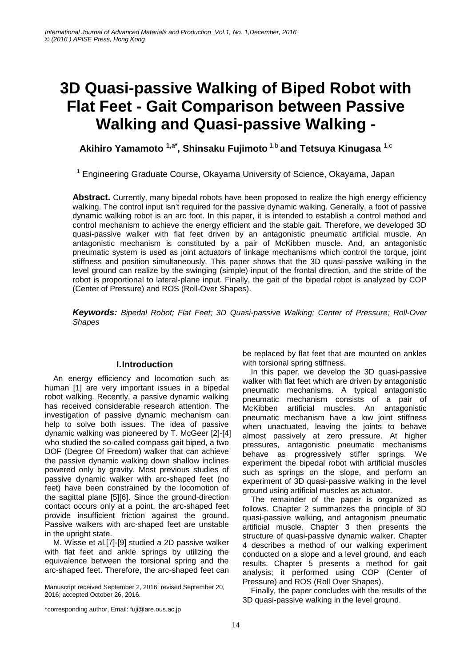# **3D Quasi-passive Walking of Biped Robot with Flat Feet - Gait Comparison between Passive Walking and Quasi-passive Walking -**

**Akihiro Yamamoto 1,a\* , Shinsaku Fujimoto** 1,b **and Tetsuya Kinugasa** 1,c

<sup>1</sup> Engineering Graduate Course, Okayama University of Science, Okayama, Japan

**Abstract.** Currently, many bipedal robots have been proposed to realize the high energy efficiency walking. The control input isn't required for the passive dynamic walking. Generally, a foot of passive dynamic walking robot is an arc foot. In this paper, it is intended to establish a control method and control mechanism to achieve the energy efficient and the stable gait. Therefore, we developed 3D quasi-passive walker with flat feet driven by an antagonistic pneumatic artificial muscle. An antagonistic mechanism is constituted by a pair of McKibben muscle. And, an antagonistic pneumatic system is used as joint actuators of linkage mechanisms which control the torque, joint stiffness and position simultaneously. This paper shows that the 3D quasi-passive walking in the level ground can realize by the swinging (simple) input of the frontal direction, and the stride of the robot is proportional to lateral-plane input. Finally, the gait of the bipedal robot is analyzed by COP (Center of Pressure) and ROS (Roll-Over Shapes).

*Keywords: Bipedal Robot; Flat Feet; 3D Quasi-passive Walking; Center of Pressure; Roll-Over Shapes*

# **I.Introduction**

An energy efficiency and locomotion such as human [1] are very important issues in a bipedal robot walking. Recently, a passive dynamic walking has received considerable research attention. The investigation of passive dynamic mechanism can help to solve both issues. The idea of passive dynamic walking was pioneered by T. McGeer [2]-[4] who studied the so-called compass gait biped, a two DOF (Degree Of Freedom) walker that can achieve the passive dynamic walking down shallow inclines powered only by gravity. Most previous studies of passive dynamic walker with arc-shaped feet (no feet) have been constrained by the locomotion of the sagittal plane [5][6]. Since the ground-direction contact occurs only at a point, the arc-shaped feet provide insufficient friction against the ground. Passive walkers with arc-shaped feet are unstable in the upright state.

M. Wisse et al.[7]-[9] studied a 2D passive walker with flat feet and ankle springs by utilizing the equivalence between the torsional spring and the arc-shaped feet. Therefore, the arc-shaped feet can -

be replaced by flat feet that are mounted on ankles with torsional spring stiffness.

In this paper, we develop the 3D quasi-passive walker with flat feet which are driven by antagonistic pneumatic mechanisms. A typical antagonistic pneumatic mechanism consists of a pair of McKibben artificial muscles. An antagonistic pneumatic mechanism have a low joint stiffness when unactuated, leaving the joints to behave almost passively at zero pressure. At higher pressures, antagonistic pneumatic mechanisms behave as progressively stiffer springs. We experiment the bipedal robot with artificial muscles such as springs on the slope, and perform an experiment of 3D quasi-passive walking in the level ground using artificial muscles as actuator.

The remainder of the paper is organized as follows. Chapter 2 summarizes the principle of 3D quasi-passive walking, and antagonism pneumatic artificial muscle. Chapter 3 then presents the structure of quasi-passive dynamic walker. Chapter 4 describes a method of our walking experiment conducted on a slope and a level ground, and each results. Chapter 5 presents a method for gait analysis; it performed using COP (Center of Pressure) and ROS (Roll Over Shapes).

Finally, the paper concludes with the results of the 3D quasi-passive walking in the level ground.

Manuscript received September 2, 2016; revised September 20, 2016; accepted October 26, 2016.

<sup>\*</sup>corresponding author, Email: fuji@are.ous.ac.jp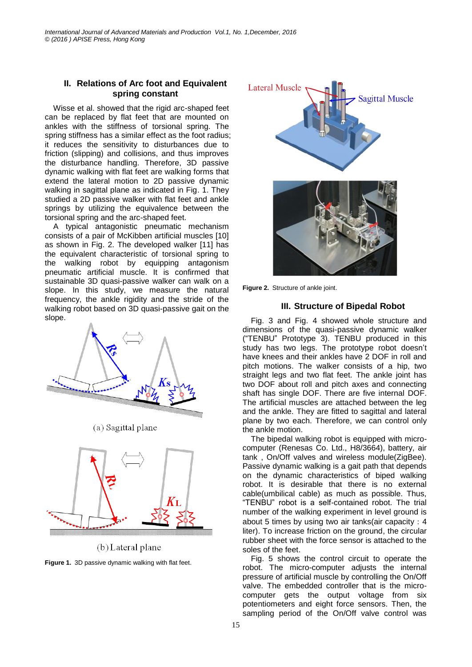#### **II. Relations of Arc foot and Equivalent spring constant**

Wisse et al. showed that the rigid arc-shaped feet can be replaced by flat feet that are mounted on ankles with the stiffness of torsional spring. The spring stiffness has a similar effect as the foot radius; it reduces the sensitivity to disturbances due to friction (slipping) and collisions, and thus improves the disturbance handling. Therefore, 3D passive dynamic walking with flat feet are walking forms that extend the lateral motion to 2D passive dynamic walking in sagittal plane as indicated in Fig. 1. They studied a 2D passive walker with flat feet and ankle springs by utilizing the equivalence between the torsional spring and the arc-shaped feet.

A typical antagonistic pneumatic mechanism consists of a pair of McKibben artificial muscles [10] as shown in Fig. 2. The developed walker [11] has the equivalent characteristic of torsional spring to the walking robot by equipping antagonism pneumatic artificial muscle. It is confirmed that sustainable 3D quasi-passive walker can walk on a slope. In this study, we measure the natural frequency, the ankle rigidity and the stride of the walking robot based on 3D quasi-passive gait on the slope.



(a) Sagittal plane



(b) Lateral plane

**Figure 1.** 3D passive dynamic walking with flat feet.



**Figure 2.** Structure of ankle joint.

# **III. Structure of Bipedal Robot**

Fig. 3 and Fig. 4 showed whole structure and dimensions of the quasi-passive dynamic walker ("TENBU" Prototype 3). TENBU produced in this study has two legs. The prototype robot doesn't have knees and their ankles have 2 DOF in roll and pitch motions. The walker consists of a hip, two straight legs and two flat feet. The ankle joint has two DOF about roll and pitch axes and connecting shaft has single DOF. There are five internal DOF. The artificial muscles are attached between the leg and the ankle. They are fitted to sagittal and lateral plane by two each. Therefore, we can control only the ankle motion.

The bipedal walking robot is equipped with microcomputer (Renesas Co. Ltd., H8/3664), battery, air tank , On/Off valves and wireless module(ZigBee). Passive dynamic walking is a gait path that depends on the dynamic characteristics of biped walking robot. It is desirable that there is no external cable(umbilical cable) as much as possible. Thus, "TENBU" robot is a self-contained robot. The trial number of the walking experiment in level ground is about 5 times by using two air tanks(air capacity:4 liter). To increase friction on the ground, the circular rubber sheet with the force sensor is attached to the soles of the feet.

Fig. 5 shows the control circuit to operate the robot. The micro-computer adjusts the internal pressure of artificial muscle by controlling the On/Off valve. The embedded controller that is the microcomputer gets the output voltage from six potentiometers and eight force sensors. Then, the sampling period of the On/Off valve control was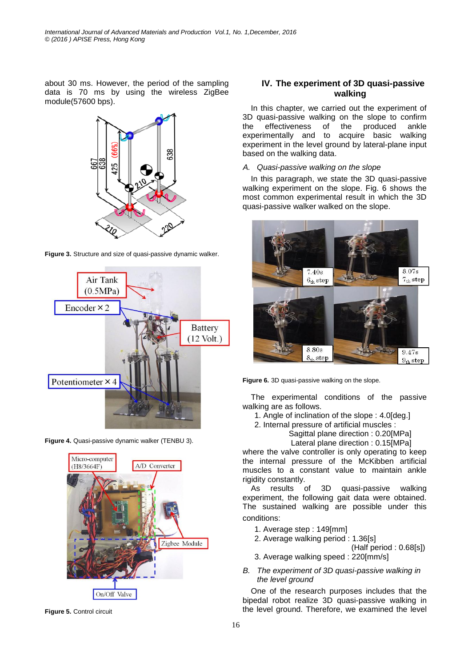about 30 ms. However, the period of the sampling data is 70 ms by using the wireless ZigBee module(57600 bps).





**Figure 3.** Structure and size of quasi-passive dynamic walker.

**Figure 4.** Quasi-passive dynamic walker (TENBU 3).



**Figure 5.** Control circuit

# **IV. The experiment of 3D quasi-passive walking**

In this chapter, we carried out the experiment of 3D quasi-passive walking on the slope to confirm the effectiveness of the produced ankle experimentally and to acquire basic walking experiment in the level ground by lateral-plane input based on the walking data.

### *A. Quasi-passive walking on the slope*

In this paragraph, we state the 3D quasi-passive walking experiment on the slope. Fig. 6 shows the most common experimental result in which the 3D quasi-passive walker walked on the slope.



**Figure 6.** 3D quasi-passive walking on the slope.

The experimental conditions of the passive walking are as follows.

- 1. Angle of inclination of the slope : 4.0[deg.]
- 2. Internal pressure of artificial muscles :
	- Sagittal plane direction : 0.20[MPa]
	- Lateral plane direction : 0.15[MPa]

where the valve controller is only operating to keep the internal pressure of the McKibben artificial muscles to a constant value to maintain ankle rigidity constantly.

As results of 3D quasi-passive walking experiment, the following gait data were obtained. The sustained walking are possible under this conditions:

- 1. Average step : 149[mm]
- 2. Average walking period : 1.36[s]
	- (Half period : 0.68[s])
- 3. Average walking speed : 220[mm/s]
- *B. The experiment of 3D quasi-passive walking in the level ground*

One of the research purposes includes that the bipedal robot realize 3D quasi-passive walking in the level ground. Therefore, we examined the level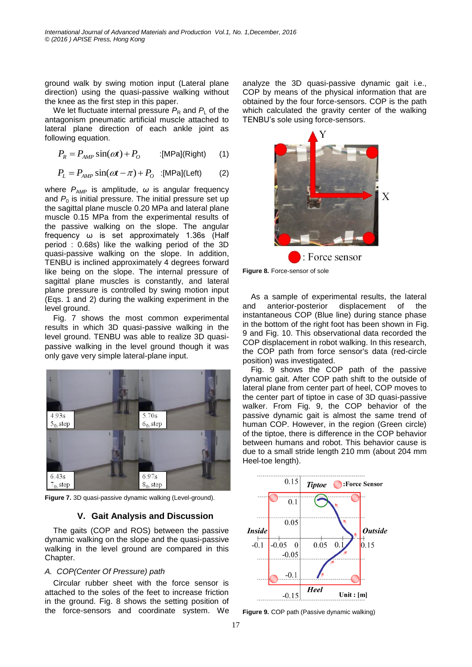ground walk by swing motion input (Lateral plane direction) using the quasi-passive walking without the knee as the first step in this paper.

We let fluctuate internal pressure  $P_R$  and  $P_L$  of the antagonism pneumatic artificial muscle attached to lateral plane direction of each ankle joint as following equation.

$$
P_R = P_{AMP} \sin(\omega t) + P_O \qquad \text{:[MPa](Right)} \qquad (1)
$$

$$
P_{L} = P_{AMP} \sin(\omega t - \pi) + P_{O} \quad \text{:[MPa](Left)} \tag{2}
$$

where  $P_{AMP}$  is amplitude,  $\omega$  is angular frequency and  $P_0$  is initial pressure. The initial pressure set up the sagittal plane muscle 0.20 MPa and lateral plane muscle 0.15 MPa from the experimental results of the passive walking on the slope. The angular frequency ω is set approximately 1.36s (Half period : 0.68s) like the walking period of the 3D quasi-passive walking on the slope. In addition, TENBU is inclined approximately 4 degrees forward like being on the slope. The internal pressure of sagittal plane muscles is constantly, and lateral plane pressure is controlled by swing motion input (Eqs. 1 and 2) during the walking experiment in the level ground.

Fig. 7 shows the most common experimental results in which 3D quasi-passive walking in the level ground. TENBU was able to realize 3D quasipassive walking in the level ground though it was only gave very simple lateral-plane input.



**Figure 7.** 3D quasi-passive dynamic walking (Level-ground).

# **V. Gait Analysis and Discussion**

The gaits (COP and ROS) between the passive dynamic walking on the slope and the quasi-passive walking in the level ground are compared in this Chapter.

#### *A. COP(Center Of Pressure) path*

Circular rubber sheet with the force sensor is attached to the soles of the feet to increase friction in the ground. Fig. 8 shows the setting position of the force-sensors and coordinate system. We analyze the 3D quasi-passive dynamic gait i.e., COP by means of the physical information that are obtained by the four force-sensors. COP is the path which calculated the gravity center of the walking TENBU's sole using force-sensors.



**Figure 8.** Force-sensor of sole

As a sample of experimental results, the lateral and anterior-posterior displacement of the instantaneous COP (Blue line) during stance phase in the bottom of the right foot has been shown in Fig. 9 and Fig. 10. This observational data recorded the COP displacement in robot walking. In this research, the COP path from force sensor's data (red-circle position) was investigated.

Fig. 9 shows the COP path of the passive dynamic gait. After COP path shift to the outside of lateral plane from center part of heel, COP moves to the center part of tiptoe in case of 3D quasi-passive walker. From Fig. 9, the COP behavior of the passive dynamic gait is almost the same trend of human COP. However, in the region (Green circle) of the tiptoe, there is difference in the COP behavior between humans and robot. This behavior cause is due to a small stride length 210 mm (about 204 mm Heel-toe length).



**Figure 9.** COP path (Passive dynamic walking)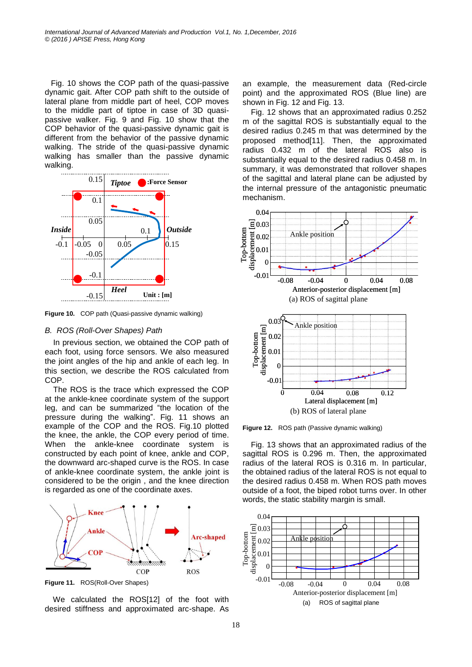Fig. 10 shows the COP path of the quasi-passive dynamic gait. After COP path shift to the outside of lateral plane from middle part of heel, COP moves to the middle part of tiptoe in case of 3D quasipassive walker. Fig. 9 and Fig. 10 show that the COP behavior of the quasi-passive dynamic gait is different from the behavior of the passive dynamic walking. The stride of the quasi-passive dynamic walking has smaller than the passive dynamic walking.



**Figure 10.** COP path (Quasi-passive dynamic walking)

#### *B. ROS (Roll-Over Shapes) Path*

In previous section, we obtained the COP path of each foot, using force sensors. We also measured the joint angles of the hip and ankle of each leg. In this section, we describe the ROS calculated from COP.

The ROS is the trace which expressed the COP at the ankle-knee coordinate system of the support leg, and can be summarized "the location of the pressure during the walking". Fig. 11 shows an example of the COP and the ROS. Fig.10 plotted the knee, the ankle, the COP every period of time. When the ankle-knee coordinate system is constructed by each point of knee, ankle and COP, the downward arc-shaped curve is the ROS. In case of ankle-knee coordinate system, the ankle joint is considered to be the origin , and the knee direction is regarded as one of the coordinate axes.



**Figure 11.** ROS(Roll-Over Shapes)

We calculated the ROS[12] of the foot with desired stiffness and approximated arc-shape. As an example, the measurement data (Red-circle point) and the approximated ROS (Blue line) are shown in Fig. 12 and Fig. 13.

Fig. 12 shows that an approximated radius 0.252 m of the sagittal ROS is substantially equal to the desired radius 0.245 m that was determined by the proposed method[11]. Then, the approximated radius 0.432 m of the lateral ROS also is substantially equal to the desired radius 0.458 m. In summary, it was demonstrated that rollover shapes of the sagittal and lateral plane can be adjusted by the internal pressure of the antagonistic pneumatic mechanism.



**Figure 12.** ROS path (Passive dynamic walking)

Fig. 13 shows that an approximated radius of the sagittal ROS is 0.296 m. Then, the approximated radius of the lateral ROS is 0.316 m. In particular, the obtained radius of the lateral ROS is not equal to the desired radius 0.458 m. When ROS path moves outside of a foot, the biped robot turns over. In other words, the static stability margin is small.

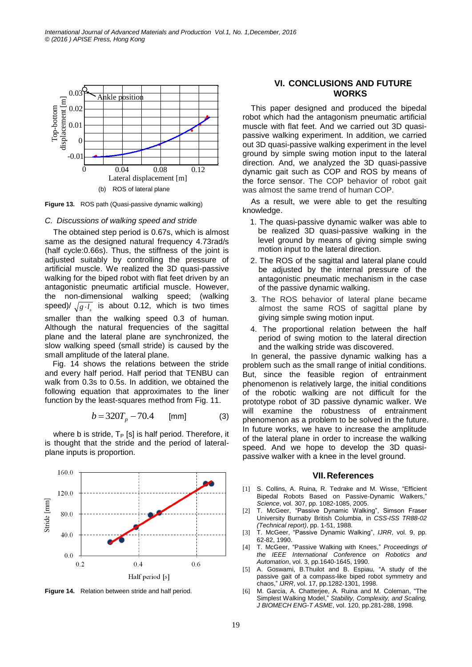

**Figure 13.** ROS path (Quasi-passive dynamic walking)

#### *C. Discussions of walking speed and stride*

The obtained step period is 0.67s, which is almost same as the designed natural frequency 4.73rad/s (half cycle:0.66s). Thus, the stiffness of the joint is adjusted suitably by controlling the pressure of artificial muscle. We realized the 3D quasi-passive walking for the biped robot with flat feet driven by an antagonistic pneumatic artificial muscle. However, the non-dimensional walking speed; (walking speed)/  $\sqrt{g \cdot l_s}$  is about 0.12, which is two times smaller than the walking speed 0.3 of human. Although the natural frequencies of the sagittal plane and the lateral plane are synchronized, the slow walking speed (small stride) is caused by the small amplitude of the lateral plane.

Fig. 14 shows the relations between the stride and every half period. Half period that TENBU can walk from 0.3s to 0.5s. In addition, we obtained the following equation that approximates to the liner function by the least-squares method from Fig. 11.

$$
b = 320T_p - 70.4 \quad [mm]
$$
 (3)

where b is stride,  $T_P$  [s] is half period. Therefore, it is thought that the stride and the period of lateralplane inputs is proportion.



**Figure 14.** Relation between stride and half period.

# **VI. CONCLUSIONS AND FUTURE WORKS**

This paper designed and produced the bipedal robot which had the antagonism pneumatic artificial muscle with flat feet. And we carried out 3D quasipassive walking experiment. In addition, we carried out 3D quasi-passive walking experiment in the level ground by simple swing motion input to the lateral direction. And, we analyzed the 3D quasi-passive dynamic gait such as COP and ROS by means of the force sensor. The COP behavior of robot gait was almost the same trend of human COP.

As a result, we were able to get the resulting knowledge.

- 1. The quasi-passive dynamic walker was able to be realized 3D quasi-passive walking in the level ground by means of giving simple swing motion input to the lateral direction.
- 2. The ROS of the sagittal and lateral plane could be adjusted by the internal pressure of the antagonistic pneumatic mechanism in the case of the passive dynamic walking.
- 3. The ROS behavior of lateral plane became almost the same ROS of sagittal plane by giving simple swing motion input.
- 4. The proportional relation between the half period of swing motion to the lateral direction and the walking stride was discovered.

In general, the passive dynamic walking has a problem such as the small range of initial conditions. But, since the feasible region of entrainment phenomenon is relatively large, the initial conditions of the robotic walking are not difficult for the prototype robot of 3D passive dynamic walker. We will examine the robustness of entrainment phenomenon as a problem to be solved in the future. In future works, we have to increase the amplitude of the lateral plane in order to increase the walking speed. And we hope to develop the 3D quasipassive walker with a knee in the level ground.

#### **VII.References**

- [1] S. Collins, A. Ruina, R. Tedrake and M. Wisse, "Efficient Bipedal Robots Based on Passive-Dynamic Walkers," *Science*, vol. 307, pp. 1082-1085, 2005.
- [2] T. McGeer, "Passive Dynamic Walking", Simson Fraser University Burnaby British Columbia, in *CSS-ISS TR88-02 (Technical report)*, pp. 1-51, 1988.
- [3] T. McGeer, "Passive Dynamic Walking", *IJRR*, vol. 9, pp. 62-82, 1990.
- [4] T. McGeer, "Passive Walking with Knees," *Proceedings of the IEEE International Conference on Robotics and Automation*, vol. 3, pp.1640-1645, 1990.
- [5] A. Goswami, B.Thuilot and B. Espiau, "A study of the passive gait of a compass-like biped robot symmetry and chaos," *IJRR*, vol. 17, pp.1282-1301, 1998.
- [6] M. Garcia, A. Chatterjee, A. Ruina and M. Coleman, "The Simplest Walking Model," *Stability, Complexity, and Scaling, J BIOMECH ENG-T ASME*, vol. 120, pp.281-288, 1998.